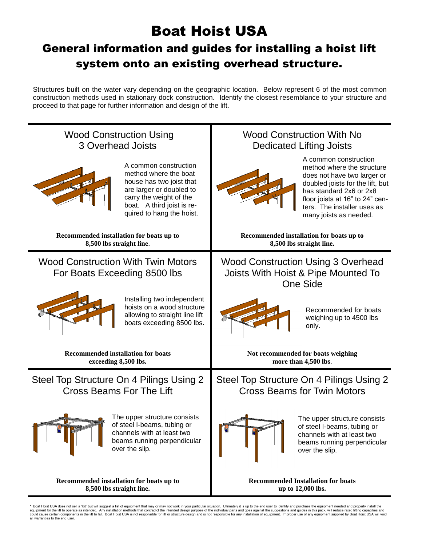### Boat Hoist USA

### General information and guides for installing a hoist lift system onto an existing overhead structure.

Structures built on the water vary depending on the geographic location. Below represent 6 of the most common construction methods used in stationary dock construction. Identify the closest resemblance to your structure and proceed to that page for further information and design of the lift.

| <b>Wood Construction Using</b>                                                                                                                                                               | <b>Wood Construction With No</b>                                                                                                                                                                                                              |
|----------------------------------------------------------------------------------------------------------------------------------------------------------------------------------------------|-----------------------------------------------------------------------------------------------------------------------------------------------------------------------------------------------------------------------------------------------|
| <b>3 Overhead Joists</b>                                                                                                                                                                     | <b>Dedicated Lifting Joists</b>                                                                                                                                                                                                               |
| A common construction<br>method where the boat<br>house has two joist that<br>are larger or doubled to<br>carry the weight of the<br>boat. A third joist is re-<br>quired to hang the hoist. | A common construction<br>method where the structure<br>does not have two larger or<br>doubled joists for the lift, but<br>has standard 2x6 or 2x8<br>floor joists at 16" to 24" cen-<br>ters. The installer uses as<br>many joists as needed. |
| Recommended installation for boats up to                                                                                                                                                     | Recommended installation for boats up to                                                                                                                                                                                                      |
| 8,500 lbs straight line.                                                                                                                                                                     | 8,500 lbs straight line.                                                                                                                                                                                                                      |
| <b>Wood Construction With Twin Motors</b><br>For Boats Exceeding 8500 lbs                                                                                                                    | <b>Wood Construction Using 3 Overhead</b><br>Joists With Hoist & Pipe Mounted To<br><b>One Side</b>                                                                                                                                           |
| Installing two independent<br>hoists on a wood structure<br>allowing to straight line lift<br>boats exceeding 8500 lbs.                                                                      | Recommended for boats<br>weighing up to 4500 lbs<br>only.                                                                                                                                                                                     |
| <b>Recommended installation for boats</b>                                                                                                                                                    | Not recommended for boats weighing                                                                                                                                                                                                            |
| exceeding 8,500 lbs.                                                                                                                                                                         | more than 4,500 lbs.                                                                                                                                                                                                                          |
| Steel Top Structure On 4 Pilings Using 2                                                                                                                                                     | Steel Top Structure On 4 Pilings Using 2                                                                                                                                                                                                      |
| <b>Cross Beams For The Lift</b>                                                                                                                                                              | <b>Cross Beams for Twin Motors</b>                                                                                                                                                                                                            |
| The upper structure consists                                                                                                                                                                 | The upper structure consists                                                                                                                                                                                                                  |
| of steel I-beams, tubing or                                                                                                                                                                  | of steel I-beams, tubing or                                                                                                                                                                                                                   |
| channels with at least two                                                                                                                                                                   | channels with at least two                                                                                                                                                                                                                    |
| beams running perpendicular                                                                                                                                                                  | beams running perpendicular                                                                                                                                                                                                                   |
| over the slip.                                                                                                                                                                               | over the slip.                                                                                                                                                                                                                                |
| Recommended installation for boats up to                                                                                                                                                     | <b>Recommended Installation for boats</b>                                                                                                                                                                                                     |
| 8,500 lbs straight line.                                                                                                                                                                     | up to 12,000 lbs.                                                                                                                                                                                                                             |

Ĭ.

Boat Hoist USA does not sell a "kit" but will suggest a list of equipment that may or may not work in your particular situation. Ultimately it is up to the end user to identify and purchase the equipment needed and properl equipment for the lift to operate as intended. Any installation methods that contradict the intended design purpose of the individual parts and goes against the suggestions and guides in this pack, will reduce rated liftin all warranties to the end user.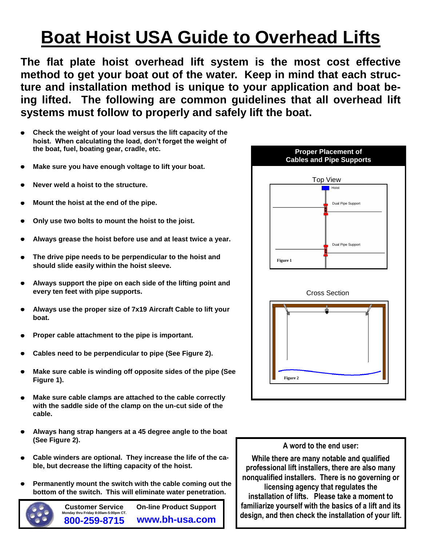# **Boat Hoist USA Guide to Overhead Lifts**

**The flat plate hoist overhead lift system is the most cost effective method to get your boat out of the water. Keep in mind that each structure and installation method is unique to your application and boat being lifted. The following are common guidelines that all overhead lift systems must follow to properly and safely lift the boat.**

- **Check the weight of your load versus the lift capacity of the hoist. When calculating the load, don't forget the weight of the boat, fuel, boating gear, cradle, etc.**
- **Make sure you have enough voltage to lift your boat.**
- **Never weld a hoist to the structure.**
- **Mount the hoist at the end of the pipe.**
- **Only use two bolts to mount the hoist to the joist.**
- **Always grease the hoist before use and at least twice a year.**
- **The drive pipe needs to be perpendicular to the hoist and should slide easily within the hoist sleeve.**
- **Always support the pipe on each side of the lifting point and every ten feet with pipe supports.**
- **Always use the proper size of 7x19 Aircraft Cable to lift your boat.**
- **Proper cable attachment to the pipe is important.**
- **Cables need to be perpendicular to pipe (See Figure 2).**
- **Make sure cable is winding off opposite sides of the pipe (See Figure 1).**
- **Make sure cable clamps are attached to the cable correctly with the saddle side of the clamp on the un-cut side of the cable.**
- **Always hang strap hangers at a 45 degree angle to the boat (See Figure 2).**
- **Cable winders are optional. They increase the life of the cable, but decrease the lifting capacity of the hoist.**
- **Permanently mount the switch with the cable coming out the bottom of the switch. This will eliminate water penetration.**



**Customer Service Monday thru Friday 8:00am-5:00pm CT. 800-259-8715 On-line Product Support www.bh-usa.com**



#### **A word to the end user:**

**While there are many notable and qualified professional lift installers, there are also many nonqualified installers. There is no governing or licensing agency that regulates the installation of lifts. Please take a moment to familiarize yourself with the basics of a lift and its design, and then check the installation of your lift.**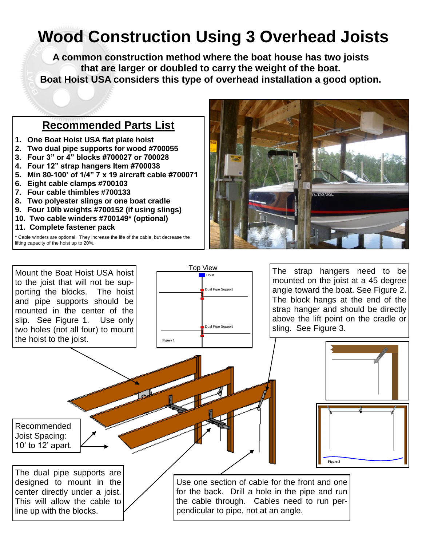## **Wood Construction Using 3 Overhead Joists**

**A common construction method where the boat house has two joists that are larger or doubled to carry the weight of the boat. Boat Hoist USA considers this type of overhead installation a good option.**

#### **Recommended Parts List**

- **1. One Boat Hoist USA flat plate hoist**
- **2. Two dual pipe supports for wood #700055**
- **3. Four 3" or 4" blocks #700027 or 700028**
- **4. Four 12" strap hangers Item #700038**
- **5. Min 80-100' of 1/4" 7 x 19 aircraft cable #700071**
- **6. Eight cable clamps #700103**
- **7. Four cable thimbles #700133**
- **8. Two polyester slings or one boat cradle**
- **9. Four 10lb weights #700152 (if using slings)**
- **10. Two cable winders #700149\* (optional)**
- **11. Complete fastener pack**

**\*** Cable winders are optional. They increase the life of the cable, but decrease the lifting capacity of the hoist up to 20%.



Mount the Boat Hoist USA hoist to the joist that will not be supporting the blocks. The hoist and pipe supports should be mounted in the center of the slip. See Figure 1. Use only two holes (not all four) to mount the hoist to the joist.



The strap hangers need to be mounted on the joist at a 45 degree angle toward the boat. See Figure 2. The block hangs at the end of the strap hanger and should be directly above the lift point on the cradle or sling. See Figure 3.



The dual pipe supports are designed to mount in the center directly under a joist. This will allow the cable to line up with the blocks.

Recommended Joist Spacing: 10' to 12' apart.

> Use one section of cable for the front and one for the back. Drill a hole in the pipe and run the cable through. Cables need to run perpendicular to pipe, not at an angle.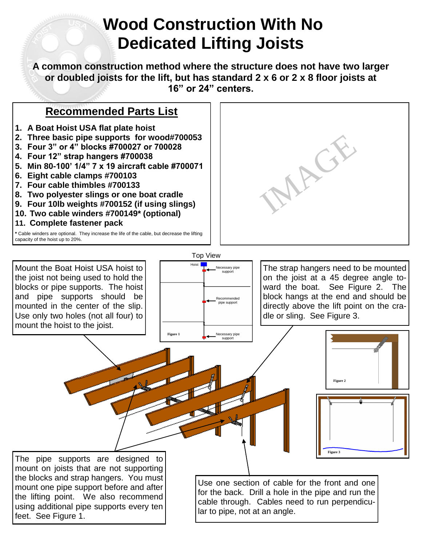### **Wood Construction With No Dedicated Lifting Joists**

**A common construction method where the structure does not have two larger or doubled joists for the lift, but has standard 2 x 6 or 2 x 8 floor joists at 16" or 24" centers.** 

#### **Recommended Parts List**

- **1. A Boat Hoist USA flat plate hoist**
- **2. Three basic pipe supports for wood#700053**
- **3. Four 3" or 4" blocks #700027 or 700028**
- **4. Four 12" strap hangers #700038**
- **5. Min 80-100' 1/4" 7 x 19 aircraft cable #700071**
- **6. Eight cable clamps #700103**
- **7. Four cable thimbles #700133**
- **8. Two polyester slings or one boat cradle**
- **9. Four 10lb weights #700152 (if using slings)**
- **10. Two cable winders #700149\* (optional)**
- **11. Complete fastener pack**

**\*** Cable winders are optional. They increase the life of the cable, but decrease the lifting capacity of the hoist up to 20%.

Mount the Boat Hoist USA hoist to the joist not being used to hold the blocks or pipe supports. The hoist and pipe supports should be mounted in the center of the slip. Use only two holes (not all four) to mount the hoist to the joist.



The strap hangers need to be mounted on the joist at a 45 degree angle toward the boat. See Figure 2. The block hangs at the end and should be directly above the lift point on the cradle or sling. See Figure 3.

IMAGE



The pipe supports are designed to mount on joists that are not supporting the blocks and strap hangers. You must mount one pipe support before and after the lifting point. We also recommend using additional pipe supports every ten feet. See Figure 1.

Use one section of cable for the front and one for the back. Drill a hole in the pipe and run the cable through. Cables need to run perpendicular to pipe, not at an angle.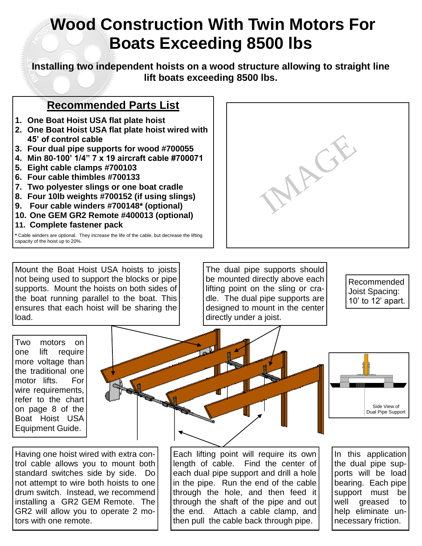### **Wood Construction With Twin Motors For Boats Exceeding 8500 lbs**

**Installing two independent hoists on a wood structure allowing to straight line lift boats exceeding 8500 lbs.**

#### **Recommended Parts List**

- **1. One Boat Hoist USA flat plate hoist**
- **2. One Boat Hoist USA flat plate hoist wired with 45' of control cable**
- **3. Four dual pipe supports for wood #700055**
- **4. Min 80-100' 1/4" 7 x 19 aircraft cable #700071**
- **5. Eight cable clamps #700103**
- **6. Four cable thimbles #700133**
- **7. Two polyester slings or one boat cradle**
- **8. Four 10lb weights #700152 (if using slings)**
- **9. Four cable winders #700148\* (optional)**
- **10. One GEM GR2 Remote #400013 (optional)**
- **11. Complete fastener pack**

**\*** Cable winders are optional. They increase the life of the cable, but decrease the lifting capacity of the hoist up to 20%.

Mount the Boat Hoist USA hoists to joists not being used to support the blocks or pipe supports. Mount the hoists on both sides of the boat running parallel to the boat. This ensures that each hoist will be sharing the load.



The dual pipe supports should be mounted directly above each lifting point on the sling or cradle. The dual pipe supports are designed to mount in the center directly under a joist.

Recommended Joist Spacing: 10' to 12' apart.

Two motors on one lift require more voltage than the traditional one motor lifts. For wire requirements, refer to the chart on page 8 of the Boat Hoist USA Equipment Guide.





Having one hoist wired with extra control cable allows you to mount both standard switches side by side. Do not attempt to wire both hoists to one drum switch. Instead, we recommend installing a GR2 GEM Remote. The GR2 will allow you to operate 2 motors with one remote.

Each lifting point will require its own length of cable. Find the center of each dual pipe support and drill a hole in the pipe. Run the end of the cable through the hole, and then feed it through the shaft of the pipe and out the end. Attach a cable clamp, and then pull the cable back through pipe.

In this application the dual pipe supports will be load bearing. Each pipe support must be well greased to help eliminate unnecessary friction.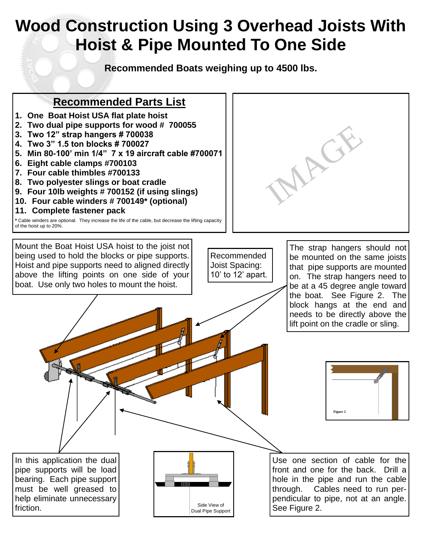### **Wood Construction Using 3 Overhead Joists With Hoist & Pipe Mounted To One Side**

**Recommended Boats weighing up to 4500 lbs.**

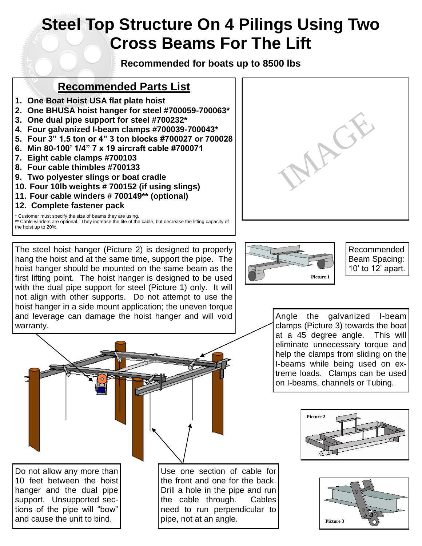### **Steel Top Structure On 4 Pilings Using Two Cross Beams For The Lift**

**Recommended for boats up to 8500 lbs**

#### **Recommended Parts List**

- **1. One Boat Hoist USA flat plate hoist**
- **2. One BHUSA hoist hanger for steel #700059-700063\***
- **3. One dual pipe support for steel #700232\***
- **4. Four galvanized I-beam clamps #700039-700043\***
- **5. Four 3" 1.5 ton or 4" 3 ton blocks #700027 or 700028**
- **6. Min 80-100' 1/4" 7 x 19 aircraft cable #700071**
- **7. Eight cable clamps #700103**
- **8. Four cable thimbles #700133**
- **9. Two polyester slings or boat cradle**
- **10. Four 10lb weights # 700152 (if using slings)**
- **11. Four cable winders # 700149\*\* (optional)**
- **12. Complete fastener pack**

warranty.

Customer must specify the size of beams they are using. **\*\*** Cable winders are optional. They increase the life of the cable, but decrease the lifting capacity of the hoist up to 20%.

The steel hoist hanger (Picture 2) is designed to properly hang the hoist and at the same time, support the pipe. The hoist hanger should be mounted on the same beam as the first lifting point. The hoist hanger is designed to be used with the dual pipe support for steel (Picture 1) only. It will not align with other supports. Do not attempt to use the hoist hanger in a side mount application; the uneven torque and leverage can damage the hoist hanger and will void





Recommended Beam Spacing: 10' to 12' apart.

Angle the galvanized I-beam clamps (Picture 3) towards the boat at a 45 degree angle. This will eliminate unnecessary torque and help the clamps from sliding on the I-beams while being used on extreme loads. Clamps can be used on I-beams, channels or Tubing.







Do not allow any more than 10 feet between the hoist hanger and the dual pipe support. Unsupported sections of the pipe will "bow" and cause the unit to bind.

Use one section of cable for the front and one for the back. Drill a hole in the pipe and run the cable through. Cables need to run perpendicular to pipe, not at an angle.